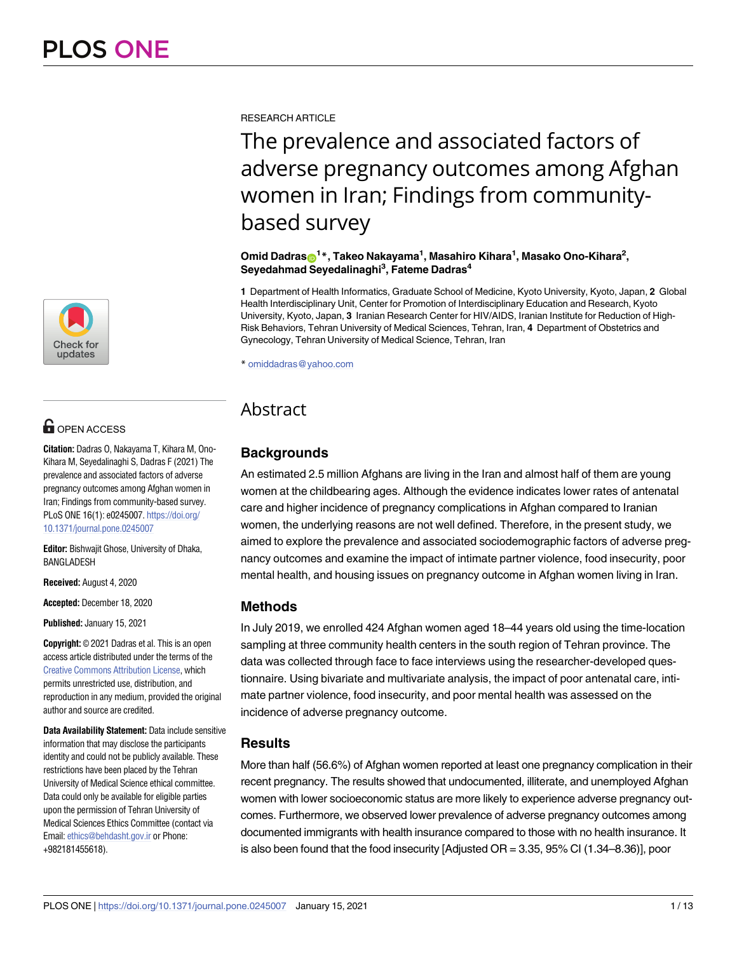

# **OPEN ACCESS**

**Citation:** Dadras O, Nakayama T, Kihara M, Ono-Kihara M, Seyedalinaghi S, Dadras F (2021) The prevalence and associated factors of adverse pregnancy outcomes among Afghan women in Iran; Findings from community-based survey. PLoS ONE 16(1): e0245007. [https://doi.org/](https://doi.org/10.1371/journal.pone.0245007) [10.1371/journal.pone.0245007](https://doi.org/10.1371/journal.pone.0245007)

**Editor:** Bishwajit Ghose, University of Dhaka, BANGLADESH

**Received:** August 4, 2020

**Accepted:** December 18, 2020

**Published:** January 15, 2021

**Copyright:** © 2021 Dadras et al. This is an open access article distributed under the terms of the Creative Commons [Attribution](http://creativecommons.org/licenses/by/4.0/) License, which permits unrestricted use, distribution, and reproduction in any medium, provided the original author and source are credited.

**Data Availability Statement:** Data include sensitive information that may disclose the participants identity and could not be publicly available. These restrictions have been placed by the Tehran University of Medical Science ethical committee. Data could only be available for eligible parties upon the permission of Tehran University of Medical Sciences Ethics Committee (contact via Email: [ethics@behdasht.gov.ir](mailto:ethics@behdasht.gov.ir) or Phone: +982181455618).

RESEARCH ARTICLE

The prevalence and associated factors of adverse pregnancy outcomes among Afghan women in Iran; Findings from communitybased survey

 $\mathbf{O}$ mid Dadras $\mathbf{\odot}^\mathbf{1*}, \mathbf{T}$ akeo Nakayama $^{\mathbf{1}}, \mathbf{M}$ asahiro Kihara $^{\mathbf{1}}, \mathbf{M}$ asako Ono-Kihara $^{\mathbf{2}}, \mathbf{M}$ **Seyedahmad Seyedalinaghi3 , Fateme Dadras4**

**1** Department of Health Informatics, Graduate School of Medicine, Kyoto University, Kyoto, Japan, **2** Global Health Interdisciplinary Unit, Center for Promotion of Interdisciplinary Education and Research, Kyoto University, Kyoto, Japan, **3** Iranian Research Center for HIV/AIDS, Iranian Institute for Reduction of High-Risk Behaviors, Tehran University of Medical Sciences, Tehran, Iran, **4** Department of Obstetrics and Gynecology, Tehran University of Medical Science, Tehran, Iran

\* omiddadras@yahoo.com

# Abstract

# **Backgrounds**

An estimated 2.5 million Afghans are living in the Iran and almost half of them are young women at the childbearing ages. Although the evidence indicates lower rates of antenatal care and higher incidence of pregnancy complications in Afghan compared to Iranian women, the underlying reasons are not well defined. Therefore, in the present study, we aimed to explore the prevalence and associated sociodemographic factors of adverse pregnancy outcomes and examine the impact of intimate partner violence, food insecurity, poor mental health, and housing issues on pregnancy outcome in Afghan women living in Iran.

# **Methods**

In July 2019, we enrolled 424 Afghan women aged 18–44 years old using the time-location sampling at three community health centers in the south region of Tehran province. The data was collected through face to face interviews using the researcher-developed questionnaire. Using bivariate and multivariate analysis, the impact of poor antenatal care, intimate partner violence, food insecurity, and poor mental health was assessed on the incidence of adverse pregnancy outcome.

# **Results**

More than half (56.6%) of Afghan women reported at least one pregnancy complication in their recent pregnancy. The results showed that undocumented, illiterate, and unemployed Afghan women with lower socioeconomic status are more likely to experience adverse pregnancy outcomes. Furthermore, we observed lower prevalence of adverse pregnancy outcomes among documented immigrants with health insurance compared to those with no health insurance. It is also been found that the food insecurity [Adjusted OR = 3.35, 95% CI (1.34–8.36)], poor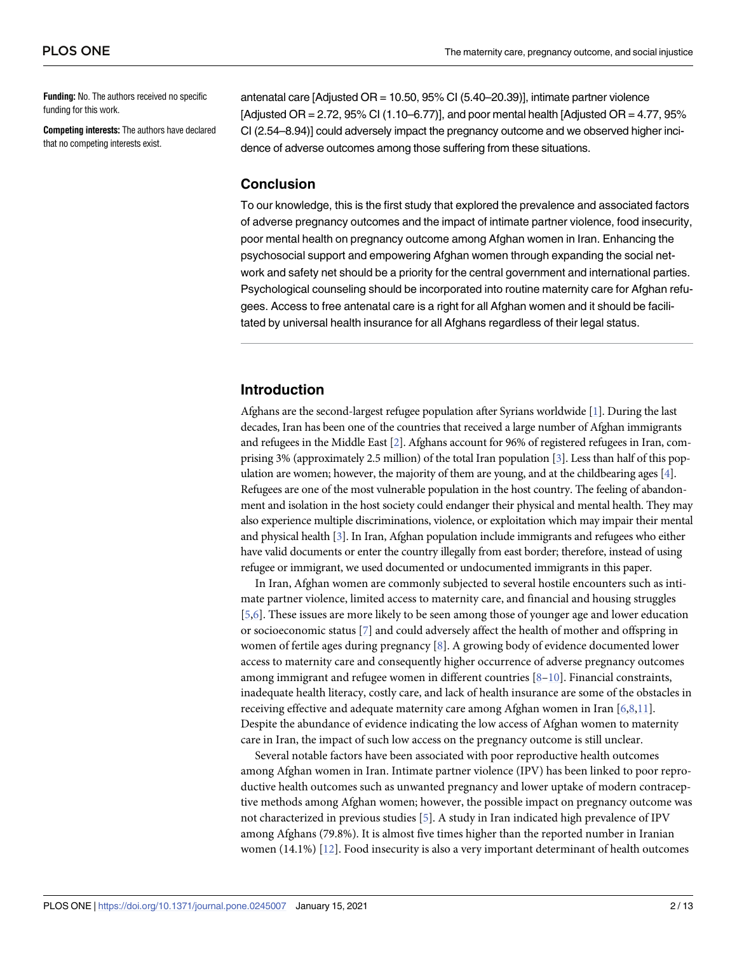<span id="page-1-0"></span>**Funding:** No. The authors received no specific funding for this work.

**Competing interests:** The authors have declared that no competing interests exist.

antenatal care [Adjusted OR = 10.50, 95% CI (5.40–20.39)], intimate partner violence [Adjusted OR = 2.72, 95% CI (1.10–6.77)], and poor mental health [Adjusted OR = 4.77, 95% CI (2.54–8.94)] could adversely impact the pregnancy outcome and we observed higher incidence of adverse outcomes among those suffering from these situations.

#### **Conclusion**

To our knowledge, this is the first study that explored the prevalence and associated factors of adverse pregnancy outcomes and the impact of intimate partner violence, food insecurity, poor mental health on pregnancy outcome among Afghan women in Iran. Enhancing the psychosocial support and empowering Afghan women through expanding the social network and safety net should be a priority for the central government and international parties. Psychological counseling should be incorporated into routine maternity care for Afghan refugees. Access to free antenatal care is a right for all Afghan women and it should be facilitated by universal health insurance for all Afghans regardless of their legal status.

# **Introduction**

Afghans are the second-largest refugee population after Syrians worldwide [\[1](#page-10-0)]. During the last decades, Iran has been one of the countries that received a large number of Afghan immigrants and refugees in the Middle East [\[2\]](#page-10-0). Afghans account for 96% of registered refugees in Iran, comprising 3% (approximately 2.5 million) of the total Iran population [\[3\]](#page-10-0). Less than half of this population are women; however, the majority of them are young, and at the childbearing ages [\[4\]](#page-10-0). Refugees are one of the most vulnerable population in the host country. The feeling of abandonment and isolation in the host society could endanger their physical and mental health. They may also experience multiple discriminations, violence, or exploitation which may impair their mental and physical health [[3](#page-10-0)]. In Iran, Afghan population include immigrants and refugees who either have valid documents or enter the country illegally from east border; therefore, instead of using refugee or immigrant, we used documented or undocumented immigrants in this paper.

In Iran, Afghan women are commonly subjected to several hostile encounters such as intimate partner violence, limited access to maternity care, and financial and housing struggles [\[5,6](#page-10-0)]. These issues are more likely to be seen among those of younger age and lower education or socioeconomic status [\[7](#page-10-0)] and could adversely affect the health of mother and offspring in women of fertile ages during pregnancy [\[8](#page-10-0)]. A growing body of evidence documented lower access to maternity care and consequently higher occurrence of adverse pregnancy outcomes among immigrant and refugee women in different countries [[8](#page-10-0)–[10](#page-10-0)]. Financial constraints, inadequate health literacy, costly care, and lack of health insurance are some of the obstacles in receiving effective and adequate maternity care among Afghan women in Iran [[6](#page-10-0),[8](#page-10-0),[11](#page-11-0)]. Despite the abundance of evidence indicating the low access of Afghan women to maternity care in Iran, the impact of such low access on the pregnancy outcome is still unclear.

Several notable factors have been associated with poor reproductive health outcomes among Afghan women in Iran. Intimate partner violence (IPV) has been linked to poor reproductive health outcomes such as unwanted pregnancy and lower uptake of modern contraceptive methods among Afghan women; however, the possible impact on pregnancy outcome was not characterized in previous studies [\[5](#page-10-0)]. A study in Iran indicated high prevalence of IPV among Afghans (79.8%). It is almost five times higher than the reported number in Iranian women (14.1%) [\[12\]](#page-11-0). Food insecurity is also a very important determinant of health outcomes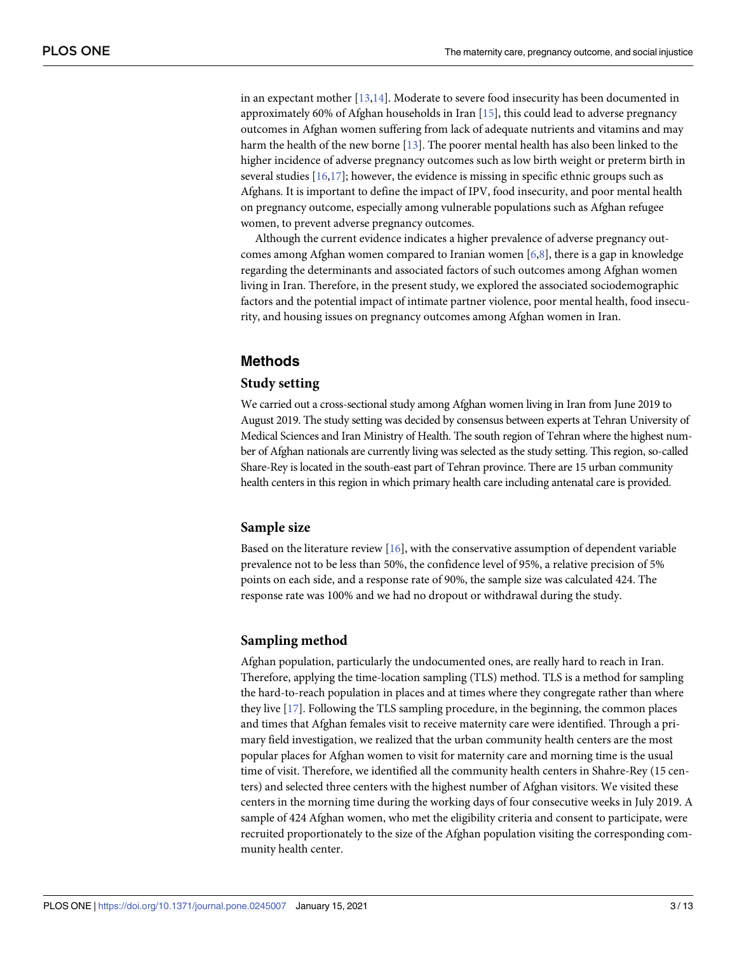<span id="page-2-0"></span>in an expectant mother [\[13,14](#page-11-0)]. Moderate to severe food insecurity has been documented in approximately 60% of Afghan households in Iran [\[15\]](#page-11-0), this could lead to adverse pregnancy outcomes in Afghan women suffering from lack of adequate nutrients and vitamins and may harm the health of the new borne [\[13](#page-11-0)]. The poorer mental health has also been linked to the higher incidence of adverse pregnancy outcomes such as low birth weight or preterm birth in several studies  $[16,17]$  $[16,17]$ ; however, the evidence is missing in specific ethnic groups such as Afghans. It is important to define the impact of IPV, food insecurity, and poor mental health on pregnancy outcome, especially among vulnerable populations such as Afghan refugee women, to prevent adverse pregnancy outcomes.

Although the current evidence indicates a higher prevalence of adverse pregnancy outcomes among Afghan women compared to Iranian women  $[6,8]$  $[6,8]$ , there is a gap in knowledge regarding the determinants and associated factors of such outcomes among Afghan women living in Iran. Therefore, in the present study, we explored the associated sociodemographic factors and the potential impact of intimate partner violence, poor mental health, food insecurity, and housing issues on pregnancy outcomes among Afghan women in Iran.

# **Methods**

#### **Study setting**

We carried out a cross-sectional study among Afghan women living in Iran from June 2019 to August 2019. The study setting was decided by consensus between experts at Tehran University of Medical Sciences and Iran Ministry of Health. The south region of Tehran where the highest number of Afghan nationals are currently living was selected as the study setting. This region, so-called Share-Rey is located in the south-east part of Tehran province. There are 15 urban community health centers in this region in which primary health care including antenatal care is provided.

#### **Sample size**

Based on the literature review [[16](#page-11-0)], with the conservative assumption of dependent variable prevalence not to be less than 50%, the confidence level of 95%, a relative precision of 5% points on each side, and a response rate of 90%, the sample size was calculated 424. The response rate was 100% and we had no dropout or withdrawal during the study.

# **Sampling method**

Afghan population, particularly the undocumented ones, are really hard to reach in Iran. Therefore, applying the time-location sampling (TLS) method. TLS is a method for sampling the hard-to-reach population in places and at times where they congregate rather than where they live [[17](#page-11-0)]. Following the TLS sampling procedure, in the beginning, the common places and times that Afghan females visit to receive maternity care were identified. Through a primary field investigation, we realized that the urban community health centers are the most popular places for Afghan women to visit for maternity care and morning time is the usual time of visit. Therefore, we identified all the community health centers in Shahre-Rey (15 centers) and selected three centers with the highest number of Afghan visitors. We visited these centers in the morning time during the working days of four consecutive weeks in July 2019. A sample of 424 Afghan women, who met the eligibility criteria and consent to participate, were recruited proportionately to the size of the Afghan population visiting the corresponding community health center.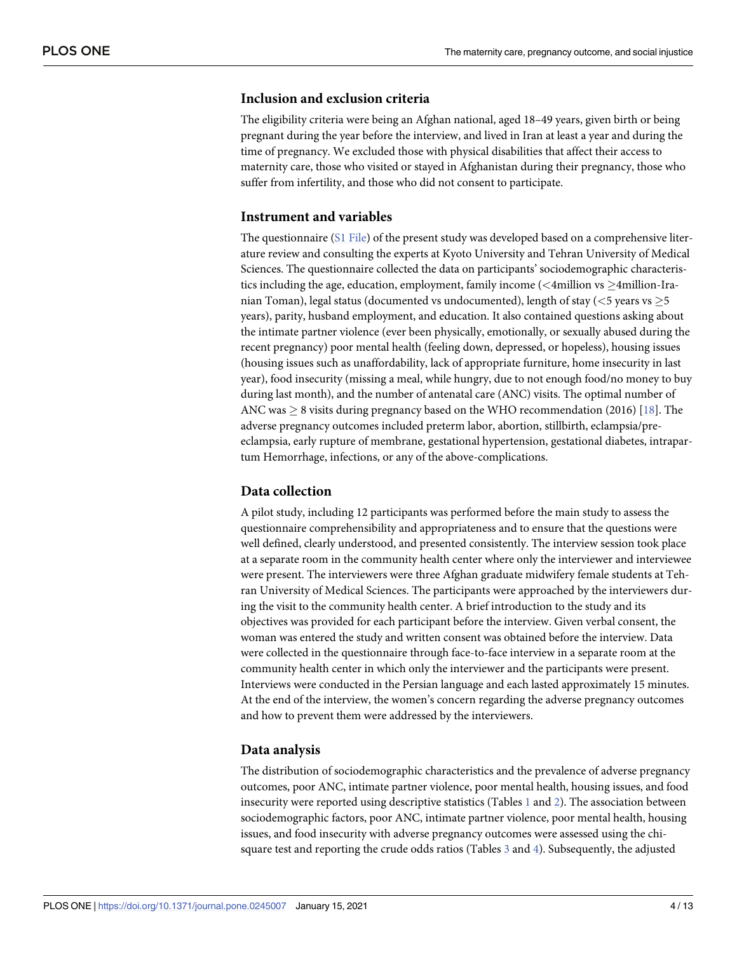# <span id="page-3-0"></span>**Inclusion and exclusion criteria**

The eligibility criteria were being an Afghan national, aged 18–49 years, given birth or being pregnant during the year before the interview, and lived in Iran at least a year and during the time of pregnancy. We excluded those with physical disabilities that affect their access to maternity care, those who visited or stayed in Afghanistan during their pregnancy, those who suffer from infertility, and those who did not consent to participate.

#### **Instrument and variables**

The questionnaire (S1 [File](#page-9-0)) of the present study was developed based on a comprehensive literature review and consulting the experts at Kyoto University and Tehran University of Medical Sciences. The questionnaire collected the data on participants' sociodemographic characteristics including the age, education, employment, family income (<4million vs  $\geq$ 4million-Iranian Toman), legal status (documented vs undocumented), length of stay (*<*5 years vs �5 years), parity, husband employment, and education. It also contained questions asking about the intimate partner violence (ever been physically, emotionally, or sexually abused during the recent pregnancy) poor mental health (feeling down, depressed, or hopeless), housing issues (housing issues such as unaffordability, lack of appropriate furniture, home insecurity in last year), food insecurity (missing a meal, while hungry, due to not enough food/no money to buy during last month), and the number of antenatal care (ANC) visits. The optimal number of ANC was  $\geq$  8 visits during pregnancy based on the WHO recommendation (2016) [[18](#page-11-0)]. The adverse pregnancy outcomes included preterm labor, abortion, stillbirth, eclampsia/preeclampsia, early rupture of membrane, gestational hypertension, gestational diabetes, intrapartum Hemorrhage, infections, or any of the above-complications.

### **Data collection**

A pilot study, including 12 participants was performed before the main study to assess the questionnaire comprehensibility and appropriateness and to ensure that the questions were well defined, clearly understood, and presented consistently. The interview session took place at a separate room in the community health center where only the interviewer and interviewee were present. The interviewers were three Afghan graduate midwifery female students at Tehran University of Medical Sciences. The participants were approached by the interviewers during the visit to the community health center. A brief introduction to the study and its objectives was provided for each participant before the interview. Given verbal consent, the woman was entered the study and written consent was obtained before the interview. Data were collected in the questionnaire through face-to-face interview in a separate room at the community health center in which only the interviewer and the participants were present. Interviews were conducted in the Persian language and each lasted approximately 15 minutes. At the end of the interview, the women's concern regarding the adverse pregnancy outcomes and how to prevent them were addressed by the interviewers.

#### **Data analysis**

The distribution of sociodemographic characteristics and the prevalence of adverse pregnancy outcomes, poor ANC, intimate partner violence, poor mental health, housing issues, and food insecurity were reported using descriptive statistics (Tables [1](#page-4-0) and [2](#page-5-0)). The association between sociodemographic factors, poor ANC, intimate partner violence, poor mental health, housing issues, and food insecurity with adverse pregnancy outcomes were assessed using the chisquare test and reporting the crude odds ratios (Tables [3](#page-5-0) and [4\)](#page-6-0). Subsequently, the adjusted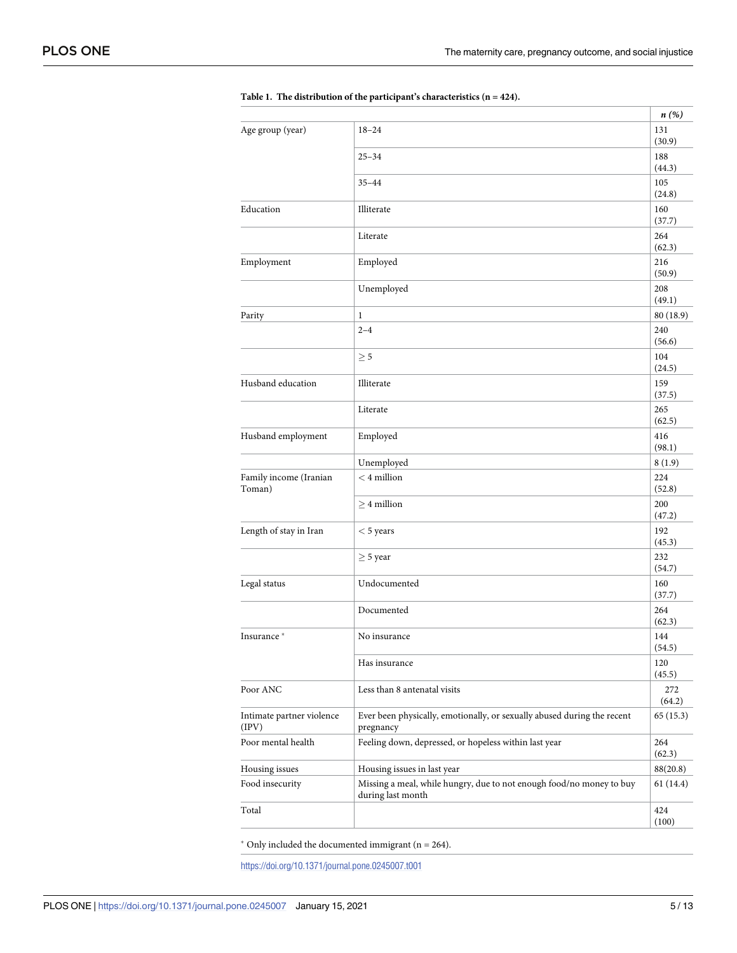|                                    |                                                                                           | n(%)                    |
|------------------------------------|-------------------------------------------------------------------------------------------|-------------------------|
| Age group (year)                   | $18 - 24$                                                                                 | 131<br>(30.9)           |
|                                    | $25 - 34$                                                                                 | 188<br>(44.3)           |
|                                    | $35 - 44$                                                                                 | 105                     |
| Education                          | Illiterate                                                                                | (24.8)<br>160           |
|                                    | Literate                                                                                  | (37.7)<br>264           |
| Employment                         | Employed                                                                                  | (62.3)<br>216           |
|                                    | Unemployed                                                                                | (50.9)<br>208<br>(49.1) |
| Parity                             | $\mathbf{1}$                                                                              | 80 (18.9)               |
|                                    | $2 - 4$                                                                                   | 240<br>(56.6)           |
|                                    | $\geq 5$                                                                                  | 104<br>(24.5)           |
| Husband education                  | Illiterate                                                                                | 159<br>(37.5)           |
|                                    | Literate                                                                                  | 265<br>(62.5)           |
| Husband employment                 | Employed                                                                                  | 416<br>(98.1)           |
|                                    | Unemployed                                                                                | 8(1.9)                  |
| Family income (Iranian<br>Toman)   | $<$ 4 million                                                                             | 224<br>(52.8)           |
|                                    | $>4$ million                                                                              | 200<br>(47.2)           |
| Length of stay in Iran             | $<$ 5 years                                                                               | 192<br>(45.3)           |
|                                    | $\geq$ 5 year                                                                             | 232<br>(54.7)           |
| Legal status                       | Undocumented                                                                              | 160<br>(37.7)           |
|                                    | Documented                                                                                | 264<br>(62.3)           |
| Insurance*                         | No insurance                                                                              | 144<br>(54.5)           |
|                                    | Has insurance                                                                             | 120<br>(45.5)           |
| Poor ANC                           | Less than 8 antenatal visits                                                              | 272<br>(64.2)           |
| Intimate partner violence<br>(IPV) | Ever been physically, emotionally, or sexually abused during the recent<br>pregnancy      | 65 (15.3)               |
| Poor mental health                 | Feeling down, depressed, or hopeless within last year                                     | 264<br>(62.3)           |
| Housing issues                     | Housing issues in last year                                                               | 88(20.8)                |
| Food insecurity                    | Missing a meal, while hungry, due to not enough food/no money to buy<br>during last month | 61(14.4)                |
| Total                              |                                                                                           | 424<br>(100)            |
|                                    |                                                                                           |                         |

<span id="page-4-0"></span>

|  |  |  | Table 1. The distribution of the participant's characteristics $(n = 424)$ . |  |  |
|--|--|--|------------------------------------------------------------------------------|--|--|
|--|--|--|------------------------------------------------------------------------------|--|--|

 $*$  Only included the documented immigrant (n = 264).

<https://doi.org/10.1371/journal.pone.0245007.t001>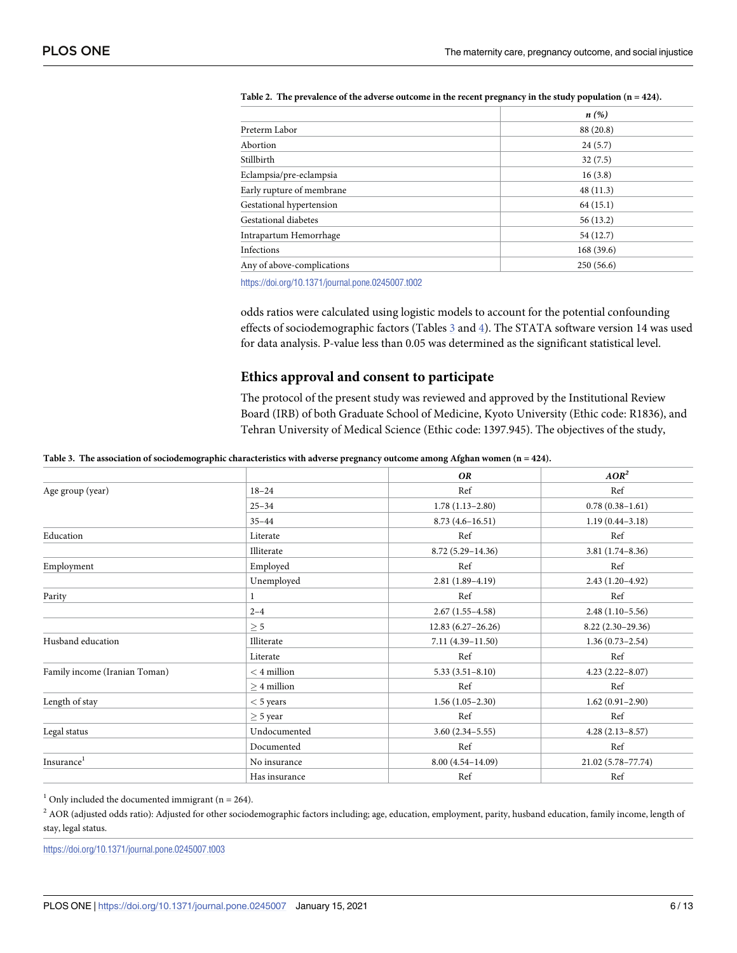|                            | n(%)      |
|----------------------------|-----------|
| Preterm Labor              | 88 (20.8) |
| Abortion                   | 24(5.7)   |
| Stillbirth                 | 32(7.5)   |
| Eclampsia/pre-eclampsia    | 16(3.8)   |
| Early rupture of membrane  | 48(11.3)  |
| Gestational hypertension   | 64(15.1)  |
| Gestational diabetes       | 56(13.2)  |
| Intrapartum Hemorrhage     | 54 (12.7) |
| Infections                 | 168(39.6) |
| Any of above-complications | 250(56.6) |

<span id="page-5-0"></span>[Table](#page-3-0) 2. The prevalence of the adverse outcome in the recent pregnancy in the study population  $(n = 424)$ .

<https://doi.org/10.1371/journal.pone.0245007.t002>

odds ratios were calculated using logistic models to account for the potential confounding effects of sociodemographic factors (Tables 3 and [4\)](#page-6-0). The STATA software version 14 was used for data analysis. P-value less than 0.05 was determined as the significant statistical level.

#### **Ethics approval and consent to participate**

The protocol of the present study was reviewed and approved by the Institutional Review Board (IRB) of both Graduate School of Medicine, Kyoto University (Ethic code: R1836), and Tehran University of Medical Science (Ethic code: 1397.945). The objectives of the study,

[Table](#page-3-0) 3. The association of sociodemographic characteristics with adverse pregnancy outcome among Afghan women (n = 424).

|                               |               | <b>OR</b>            | AOR <sup>2</sup>    |
|-------------------------------|---------------|----------------------|---------------------|
| Age group (year)              | $18 - 24$     | Ref                  | Ref                 |
|                               | $25 - 34$     | $1.78(1.13 - 2.80)$  | $0.78(0.38 - 1.61)$ |
|                               | $35 - 44$     | $8.73(4.6 - 16.51)$  | $1.19(0.44 - 3.18)$ |
| Education                     | Literate      | Ref                  | Ref                 |
|                               | Illiterate    | $8.72(5.29 - 14.36)$ | $3.81(1.74 - 8.36)$ |
| Employment                    | Employed      | Ref                  | Ref                 |
|                               | Unemployed    | $2.81(1.89-4.19)$    | $2.43(1.20-4.92)$   |
| Parity                        | 1             | Ref                  | Ref                 |
|                               | $2 - 4$       | $2.67(1.55-4.58)$    | $2.48(1.10-5.56)$   |
|                               | $\geq$ 5      | $12.83(6.27-26.26)$  | $8.22(2.30-29.36)$  |
| Husband education             | Illiterate    | 7.11 (4.39-11.50)    | $1.36(0.73 - 2.54)$ |
|                               | Literate      | Ref                  | Ref                 |
| Family income (Iranian Toman) | $<$ 4 million | $5.33(3.51 - 8.10)$  | $4.23(2.22 - 8.07)$ |
|                               | $>4$ million  | Ref                  | Ref                 |
| Length of stay                | $<$ 5 years   | $1.56(1.05-2.30)$    | $1.62(0.91 - 2.90)$ |
|                               | $\geq$ 5 year | Ref                  | Ref                 |
| Legal status                  | Undocumented  | $3.60(2.34 - 5.55)$  | $4.28(2.13 - 8.57)$ |
|                               | Documented    | Ref                  | Ref                 |
| Insurance <sup>1</sup>        | No insurance  | $8.00(4.54 - 14.09)$ | 21.02 (5.78-77.74)  |
|                               | Has insurance | Ref                  | Ref                 |

 $1$  Only included the documented immigrant (n = 264).

<sup>2</sup> AOR (adjusted odds ratio): Adjusted for other sociodemographic factors including; age, education, employment, parity, husband education, family income, length of stay, legal status.

<https://doi.org/10.1371/journal.pone.0245007.t003>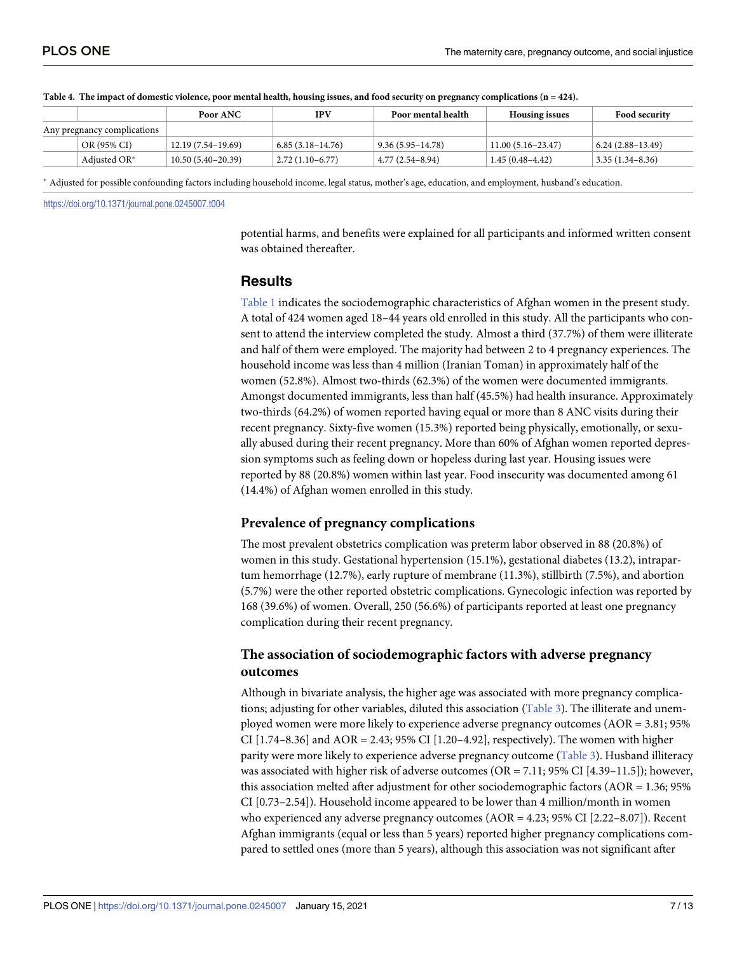|                             |                 | Poor ANC            | <b>IPV</b>               | Poor mental health   | <b>Housing issues</b> | <b>Food security</b>     |
|-----------------------------|-----------------|---------------------|--------------------------|----------------------|-----------------------|--------------------------|
| Any pregnancy complications |                 |                     |                          |                      |                       |                          |
|                             | OR (95% CI)     | 12.19 (7.54–19.69)  | $6.85(3.18-14.76)$       | $9.36(5.95 - 14.78)$ | $11.00(5.16-23.47)$   | $6.24(2.88-13.49)$       |
|                             | Adjusted $OR^*$ | $10.50(5.40-20.39)$ | $\vert$ 2.72 (1.10–6.77) | $4.77(2.54 - 8.94)$  | $1.45(0.48 - 4.42)$   | $\vert$ 3.35 (1.34–8.36) |

<span id="page-6-0"></span>

| Table 4. The impact of domestic violence, poor mental health, housing issues, and food security on pregnancy complications (n = 424). |  |  |
|---------------------------------------------------------------------------------------------------------------------------------------|--|--|
|                                                                                                                                       |  |  |

� Adjusted for possible confounding factors including household income, legal status, mother's age, education, and employment, husband's education.

<https://doi.org/10.1371/journal.pone.0245007.t004>

potential harms, and benefits were explained for all participants and informed written consent was obtained thereafter.

#### **Results**

[Table](#page-4-0) 1 indicates the sociodemographic characteristics of Afghan women in the present study. A total of 424 women aged 18–44 years old enrolled in this study. All the participants who consent to attend the interview completed the study. Almost a third (37.7%) of them were illiterate and half of them were employed. The majority had between 2 to 4 pregnancy experiences. The household income was less than 4 million (Iranian Toman) in approximately half of the women (52.8%). Almost two-thirds (62.3%) of the women were documented immigrants. Amongst documented immigrants, less than half (45.5%) had health insurance. Approximately two-thirds (64.2%) of women reported having equal or more than 8 ANC visits during their recent pregnancy. Sixty-five women (15.3%) reported being physically, emotionally, or sexually abused during their recent pregnancy. More than 60% of Afghan women reported depression symptoms such as feeling down or hopeless during last year. Housing issues were reported by 88 (20.8%) women within last year. Food insecurity was documented among 61 (14.4%) of Afghan women enrolled in this study.

# **Prevalence of pregnancy complications**

The most prevalent obstetrics complication was preterm labor observed in 88 (20.8%) of women in this study. Gestational hypertension (15.1%), gestational diabetes (13.2), intrapartum hemorrhage (12.7%), early rupture of membrane (11.3%), stillbirth (7.5%), and abortion (5.7%) were the other reported obstetric complications. Gynecologic infection was reported by 168 (39.6%) of women. Overall, 250 (56.6%) of participants reported at least one pregnancy complication during their recent pregnancy.

# **The association of sociodemographic factors with adverse pregnancy outcomes**

Although in bivariate analysis, the higher age was associated with more pregnancy complications; adjusting for other variables, diluted this association ([Table](#page-5-0) 3). The illiterate and unemployed women were more likely to experience adverse pregnancy outcomes (AOR = 3.81; 95% CI  $[1.74-8.36]$  and AOR = 2.43; 95% CI  $[1.20-4.92]$ , respectively). The women with higher parity were more likely to experience adverse pregnancy outcome ([Table](#page-5-0) 3). Husband illiteracy was associated with higher risk of adverse outcomes (OR =  $7.11$ ; 95% CI [4.39–11.5]); however, this association melted after adjustment for other sociodemographic factors (AOR = 1.36; 95% CI [0.73–2.54]). Household income appeared to be lower than 4 million/month in women who experienced any adverse pregnancy outcomes (AOR = 4.23; 95% CI [2.22–8.07]). Recent Afghan immigrants (equal or less than 5 years) reported higher pregnancy complications compared to settled ones (more than 5 years), although this association was not significant after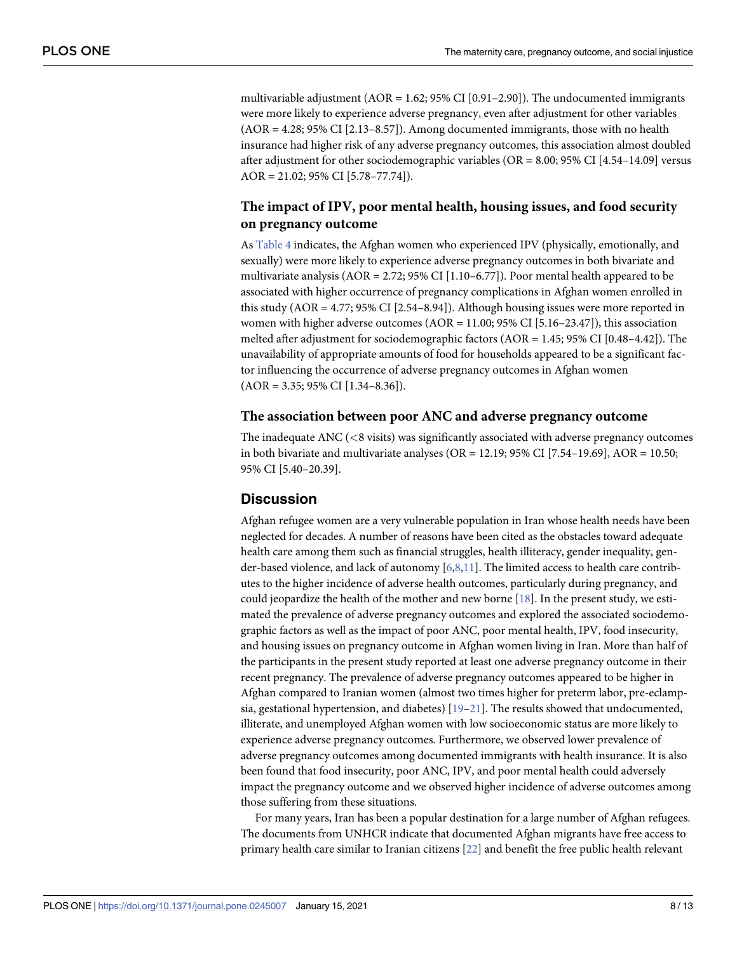<span id="page-7-0"></span>multivariable adjustment (AOR = 1.62; 95% CI [0.91–2.90]). The undocumented immigrants were more likely to experience adverse pregnancy, even after adjustment for other variables (AOR = 4.28; 95% CI [2.13–8.57]). Among documented immigrants, those with no health insurance had higher risk of any adverse pregnancy outcomes, this association almost doubled after adjustment for other sociodemographic variables (OR =  $8.00; 95\%$  CI [ $4.54-14.09$ ] versus AOR = 21.02; 95% CI [5.78–77.74]).

# **The impact of IPV, poor mental health, housing issues, and food security on pregnancy outcome**

As [Table](#page-6-0) 4 indicates, the Afghan women who experienced IPV (physically, emotionally, and sexually) were more likely to experience adverse pregnancy outcomes in both bivariate and multivariate analysis ( $AOR = 2.72$ ; 95% CI [1.10–6.77]). Poor mental health appeared to be associated with higher occurrence of pregnancy complications in Afghan women enrolled in this study  $(AOR = 4.77; 95\% \text{ CI} [2.54–8.94])$ . Although housing issues were more reported in women with higher adverse outcomes  $(AOR = 11.00; 95\% CI [5.16-23.47])$ , this association melted after adjustment for sociodemographic factors (AOR = 1.45; 95% CI [0.48–4.42]). The unavailability of appropriate amounts of food for households appeared to be a significant factor influencing the occurrence of adverse pregnancy outcomes in Afghan women  $(AOR = 3.35; 95\% \text{ CI} [1.34-8.36]).$ 

# **The association between poor ANC and adverse pregnancy outcome**

The inadequate ANC (*<*8 visits) was significantly associated with adverse pregnancy outcomes in both bivariate and multivariate analyses ( $OR = 12.19$ ; 95% CI [7.54–19.69], AOR = 10.50; 95% CI [5.40–20.39].

# **Discussion**

Afghan refugee women are a very vulnerable population in Iran whose health needs have been neglected for decades. A number of reasons have been cited as the obstacles toward adequate health care among them such as financial struggles, health illiteracy, gender inequality, gender-based violence, and lack of autonomy [\[6,8,](#page-10-0)[11\]](#page-11-0). The limited access to health care contributes to the higher incidence of adverse health outcomes, particularly during pregnancy, and could jeopardize the health of the mother and new borne [\[18\]](#page-11-0). In the present study, we estimated the prevalence of adverse pregnancy outcomes and explored the associated sociodemographic factors as well as the impact of poor ANC, poor mental health, IPV, food insecurity, and housing issues on pregnancy outcome in Afghan women living in Iran. More than half of the participants in the present study reported at least one adverse pregnancy outcome in their recent pregnancy. The prevalence of adverse pregnancy outcomes appeared to be higher in Afghan compared to Iranian women (almost two times higher for preterm labor, pre-eclampsia, gestational hypertension, and diabetes)  $[19-21]$ . The results showed that undocumented, illiterate, and unemployed Afghan women with low socioeconomic status are more likely to experience adverse pregnancy outcomes. Furthermore, we observed lower prevalence of adverse pregnancy outcomes among documented immigrants with health insurance. It is also been found that food insecurity, poor ANC, IPV, and poor mental health could adversely impact the pregnancy outcome and we observed higher incidence of adverse outcomes among those suffering from these situations.

For many years, Iran has been a popular destination for a large number of Afghan refugees. The documents from UNHCR indicate that documented Afghan migrants have free access to primary health care similar to Iranian citizens [\[22\]](#page-11-0) and benefit the free public health relevant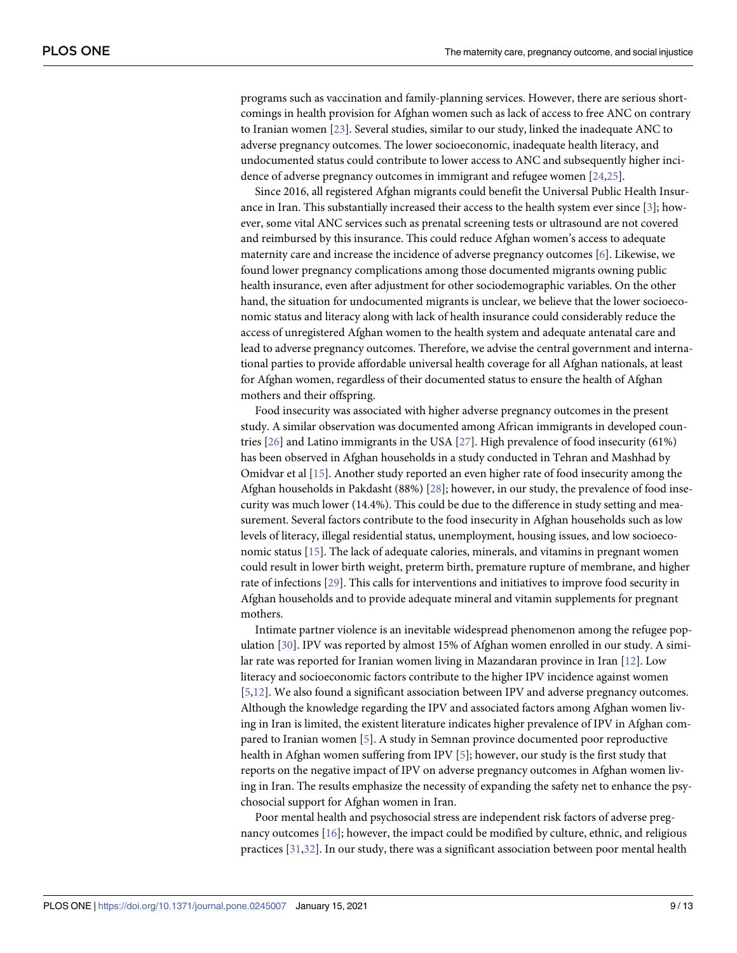<span id="page-8-0"></span>programs such as vaccination and family-planning services. However, there are serious shortcomings in health provision for Afghan women such as lack of access to free ANC on contrary to Iranian women [\[23\]](#page-11-0). Several studies, similar to our study, linked the inadequate ANC to adverse pregnancy outcomes. The lower socioeconomic, inadequate health literacy, and undocumented status could contribute to lower access to ANC and subsequently higher incidence of adverse pregnancy outcomes in immigrant and refugee women [[24,25\]](#page-11-0).

Since 2016, all registered Afghan migrants could benefit the Universal Public Health Insurance in Iran. This substantially increased their access to the health system ever since [[3](#page-10-0)]; however, some vital ANC services such as prenatal screening tests or ultrasound are not covered and reimbursed by this insurance. This could reduce Afghan women's access to adequate maternity care and increase the incidence of adverse pregnancy outcomes [\[6\]](#page-10-0). Likewise, we found lower pregnancy complications among those documented migrants owning public health insurance, even after adjustment for other sociodemographic variables. On the other hand, the situation for undocumented migrants is unclear, we believe that the lower socioeconomic status and literacy along with lack of health insurance could considerably reduce the access of unregistered Afghan women to the health system and adequate antenatal care and lead to adverse pregnancy outcomes. Therefore, we advise the central government and international parties to provide affordable universal health coverage for all Afghan nationals, at least for Afghan women, regardless of their documented status to ensure the health of Afghan mothers and their offspring.

Food insecurity was associated with higher adverse pregnancy outcomes in the present study. A similar observation was documented among African immigrants in developed countries [[26](#page-11-0)] and Latino immigrants in the USA [[27](#page-11-0)]. High prevalence of food insecurity (61%) has been observed in Afghan households in a study conducted in Tehran and Mashhad by Omidvar et al [\[15\]](#page-11-0). Another study reported an even higher rate of food insecurity among the Afghan households in Pakdasht (88%) [\[28\]](#page-11-0); however, in our study, the prevalence of food insecurity was much lower (14.4%). This could be due to the difference in study setting and measurement. Several factors contribute to the food insecurity in Afghan households such as low levels of literacy, illegal residential status, unemployment, housing issues, and low socioeconomic status [\[15\]](#page-11-0). The lack of adequate calories, minerals, and vitamins in pregnant women could result in lower birth weight, preterm birth, premature rupture of membrane, and higher rate of infections [[29](#page-11-0)]. This calls for interventions and initiatives to improve food security in Afghan households and to provide adequate mineral and vitamin supplements for pregnant mothers.

Intimate partner violence is an inevitable widespread phenomenon among the refugee population [[30](#page-11-0)]. IPV was reported by almost 15% of Afghan women enrolled in our study. A similar rate was reported for Iranian women living in Mazandaran province in Iran [\[12\]](#page-11-0). Low literacy and socioeconomic factors contribute to the higher IPV incidence against women [\[5](#page-10-0)[,12\]](#page-11-0). We also found a significant association between IPV and adverse pregnancy outcomes. Although the knowledge regarding the IPV and associated factors among Afghan women living in Iran is limited, the existent literature indicates higher prevalence of IPV in Afghan compared to Iranian women [\[5\]](#page-10-0). A study in Semnan province documented poor reproductive health in Afghan women suffering from IPV [\[5\]](#page-10-0); however, our study is the first study that reports on the negative impact of IPV on adverse pregnancy outcomes in Afghan women living in Iran. The results emphasize the necessity of expanding the safety net to enhance the psychosocial support for Afghan women in Iran.

Poor mental health and psychosocial stress are independent risk factors of adverse pregnancy outcomes [[16](#page-11-0)]; however, the impact could be modified by culture, ethnic, and religious practices [[31](#page-12-0),[32](#page-12-0)]. In our study, there was a significant association between poor mental health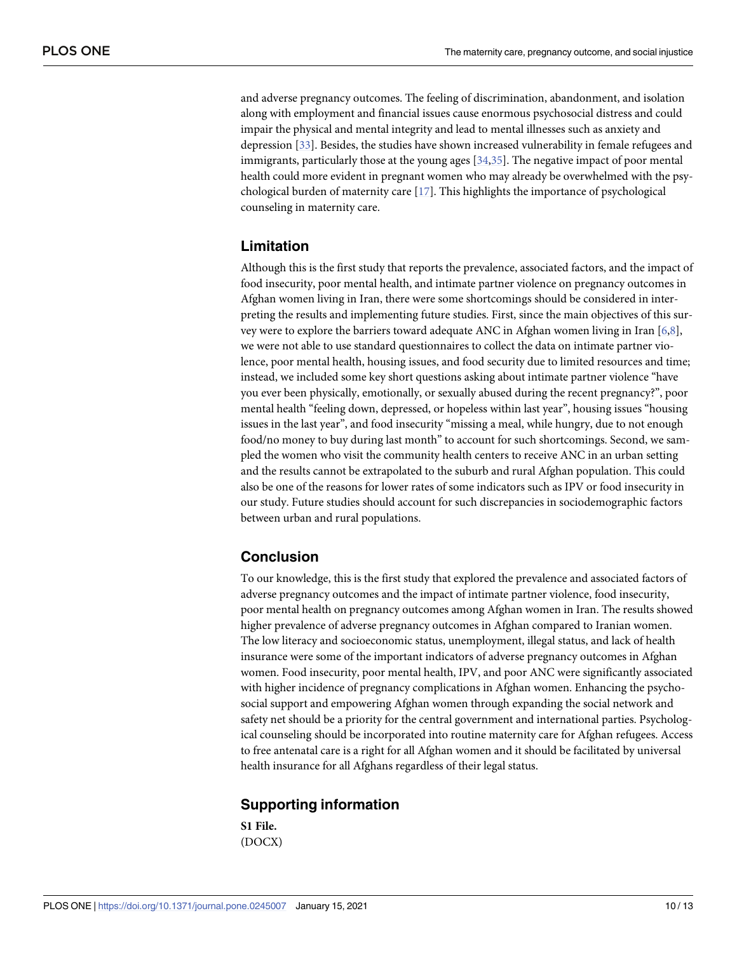<span id="page-9-0"></span>and adverse pregnancy outcomes. The feeling of discrimination, abandonment, and isolation along with employment and financial issues cause enormous psychosocial distress and could impair the physical and mental integrity and lead to mental illnesses such as anxiety and depression [[33](#page-12-0)]. Besides, the studies have shown increased vulnerability in female refugees and immigrants, particularly those at the young ages [\[34,35\]](#page-12-0). The negative impact of poor mental health could more evident in pregnant women who may already be overwhelmed with the psychological burden of maternity care [[17](#page-11-0)]. This highlights the importance of psychological counseling in maternity care.

# **Limitation**

Although this is the first study that reports the prevalence, associated factors, and the impact of food insecurity, poor mental health, and intimate partner violence on pregnancy outcomes in Afghan women living in Iran, there were some shortcomings should be considered in interpreting the results and implementing future studies. First, since the main objectives of this survey were to explore the barriers toward adequate ANC in Afghan women living in Iran [[6,8\]](#page-10-0), we were not able to use standard questionnaires to collect the data on intimate partner violence, poor mental health, housing issues, and food security due to limited resources and time; instead, we included some key short questions asking about intimate partner violence "have you ever been physically, emotionally, or sexually abused during the recent pregnancy?", poor mental health "feeling down, depressed, or hopeless within last year", housing issues "housing issues in the last year", and food insecurity "missing a meal, while hungry, due to not enough food/no money to buy during last month" to account for such shortcomings. Second, we sampled the women who visit the community health centers to receive ANC in an urban setting and the results cannot be extrapolated to the suburb and rural Afghan population. This could also be one of the reasons for lower rates of some indicators such as IPV or food insecurity in our study. Future studies should account for such discrepancies in sociodemographic factors between urban and rural populations.

# **Conclusion**

To our knowledge, this is the first study that explored the prevalence and associated factors of adverse pregnancy outcomes and the impact of intimate partner violence, food insecurity, poor mental health on pregnancy outcomes among Afghan women in Iran. The results showed higher prevalence of adverse pregnancy outcomes in Afghan compared to Iranian women. The low literacy and socioeconomic status, unemployment, illegal status, and lack of health insurance were some of the important indicators of adverse pregnancy outcomes in Afghan women. Food insecurity, poor mental health, IPV, and poor ANC were significantly associated with higher incidence of pregnancy complications in Afghan women. Enhancing the psychosocial support and empowering Afghan women through expanding the social network and safety net should be a priority for the central government and international parties. Psychological counseling should be incorporated into routine maternity care for Afghan refugees. Access to free antenatal care is a right for all Afghan women and it should be facilitated by universal health insurance for all Afghans regardless of their legal status.

# **Supporting information**

**S1 [File.](http://www.plosone.org/article/fetchSingleRepresentation.action?uri=info:doi/10.1371/journal.pone.0245007.s001)** (DOCX)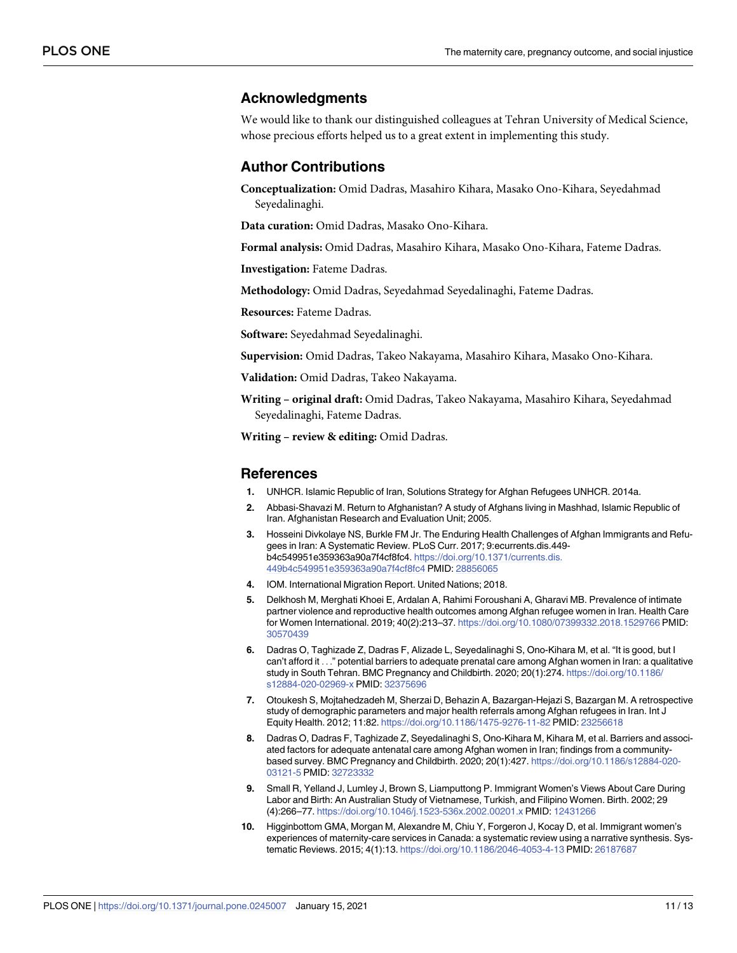### <span id="page-10-0"></span>**Acknowledgments**

We would like to thank our distinguished colleagues at Tehran University of Medical Science, whose precious efforts helped us to a great extent in implementing this study.

# **Author Contributions**

**Conceptualization:** Omid Dadras, Masahiro Kihara, Masako Ono-Kihara, Seyedahmad Seyedalinaghi.

**Data curation:** Omid Dadras, Masako Ono-Kihara.

**Formal analysis:** Omid Dadras, Masahiro Kihara, Masako Ono-Kihara, Fateme Dadras.

**Investigation:** Fateme Dadras.

**Methodology:** Omid Dadras, Seyedahmad Seyedalinaghi, Fateme Dadras.

**Resources:** Fateme Dadras.

**Software:** Seyedahmad Seyedalinaghi.

**Supervision:** Omid Dadras, Takeo Nakayama, Masahiro Kihara, Masako Ono-Kihara.

**Validation:** Omid Dadras, Takeo Nakayama.

**Writing – original draft:** Omid Dadras, Takeo Nakayama, Masahiro Kihara, Seyedahmad Seyedalinaghi, Fateme Dadras.

**Writing – review & editing:** Omid Dadras.

#### **References**

- **[1](#page-1-0).** UNHCR. Islamic Republic of Iran, Solutions Strategy for Afghan Refugees UNHCR. 2014a.
- **[2](#page-1-0).** Abbasi-Shavazi M. Return to Afghanistan? A study of Afghans living in Mashhad, Islamic Republic of Iran. Afghanistan Research and Evaluation Unit; 2005.
- **[3](#page-1-0).** Hosseini Divkolaye NS, Burkle FM Jr. The Enduring Health Challenges of Afghan Immigrants and Refugees in Iran: A Systematic Review. PLoS Curr. 2017; 9:ecurrents.dis.449 b4c549951e359363a90a7f4cf8fc4. [https://doi.org/10.1371/currents.dis.](https://doi.org/10.1371/currents.dis.449b4c549951e359363a90a7f4cf8fc4) [449b4c549951e359363a90a7f4cf8fc4](https://doi.org/10.1371/currents.dis.449b4c549951e359363a90a7f4cf8fc4) PMID: [28856065](http://www.ncbi.nlm.nih.gov/pubmed/28856065)
- **[4](#page-1-0).** IOM. International Migration Report. United Nations; 2018.
- **[5](#page-1-0).** Delkhosh M, Merghati Khoei E, Ardalan A, Rahimi Foroushani A, Gharavi MB. Prevalence of intimate partner violence and reproductive health outcomes among Afghan refugee women in Iran. Health Care for Women International. 2019; 40(2):213–37. <https://doi.org/10.1080/07399332.2018.1529766> PMID: [30570439](http://www.ncbi.nlm.nih.gov/pubmed/30570439)
- **[6](#page-1-0).** Dadras O, Taghizade Z, Dadras F, Alizade L, Seyedalinaghi S, Ono-Kihara M, et al. "It is good, but I can't afford it . . ." potential barriers to adequate prenatal care among Afghan women in Iran: a qualitative study in South Tehran. BMC Pregnancy and Childbirth. 2020; 20(1):274. [https://doi.org/10.1186/](https://doi.org/10.1186/s12884-020-02969-x) [s12884-020-02969-x](https://doi.org/10.1186/s12884-020-02969-x) PMID: [32375696](http://www.ncbi.nlm.nih.gov/pubmed/32375696)
- **[7](#page-1-0).** Otoukesh S, Mojtahedzadeh M, Sherzai D, Behazin A, Bazargan-Hejazi S, Bazargan M. A retrospective study of demographic parameters and major health referrals among Afghan refugees in Iran. Int J Equity Health. 2012; 11:82. <https://doi.org/10.1186/1475-9276-11-82> PMID: [23256618](http://www.ncbi.nlm.nih.gov/pubmed/23256618)
- **[8](#page-1-0).** Dadras O, Dadras F, Taghizade Z, Seyedalinaghi S, Ono-Kihara M, Kihara M, et al. Barriers and associated factors for adequate antenatal care among Afghan women in Iran; findings from a communitybased survey. BMC Pregnancy and Childbirth. 2020; 20(1):427. [https://doi.org/10.1186/s12884-020-](https://doi.org/10.1186/s12884-020-03121-5) [03121-5](https://doi.org/10.1186/s12884-020-03121-5) PMID: [32723332](http://www.ncbi.nlm.nih.gov/pubmed/32723332)
- **9.** Small R, Yelland J, Lumley J, Brown S, Liamputtong P. Immigrant Women's Views About Care During Labor and Birth: An Australian Study of Vietnamese, Turkish, and Filipino Women. Birth. 2002; 29 (4):266–77. <https://doi.org/10.1046/j.1523-536x.2002.00201.x> PMID: [12431266](http://www.ncbi.nlm.nih.gov/pubmed/12431266)
- **[10](#page-1-0).** Higginbottom GMA, Morgan M, Alexandre M, Chiu Y, Forgeron J, Kocay D, et al. Immigrant women's experiences of maternity-care services in Canada: a systematic review using a narrative synthesis. Systematic Reviews. 2015; 4(1):13. <https://doi.org/10.1186/2046-4053-4-13> PMID: [26187687](http://www.ncbi.nlm.nih.gov/pubmed/26187687)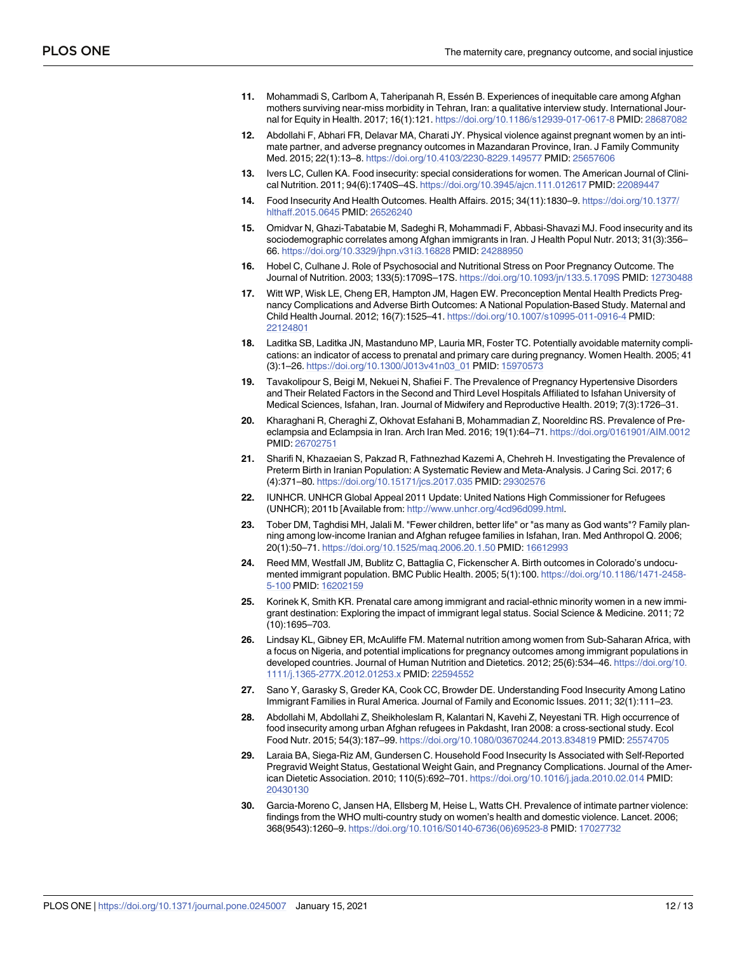- <span id="page-11-0"></span>**[11](#page-1-0).** Mohammadi S, Carlbom A, Taheripanah R, Essén B. Experiences of inequitable care among Afghan mothers surviving near-miss morbidity in Tehran, Iran: a qualitative interview study. International Journal for Equity in Health. 2017; 16(1):121. <https://doi.org/10.1186/s12939-017-0617-8> PMID: [28687082](http://www.ncbi.nlm.nih.gov/pubmed/28687082)
- **[12](#page-1-0).** Abdollahi F, Abhari FR, Delavar MA, Charati JY. Physical violence against pregnant women by an intimate partner, and adverse pregnancy outcomes in Mazandaran Province, Iran. J Family Community Med. 2015; 22(1):13–8. <https://doi.org/10.4103/2230-8229.149577> PMID: [25657606](http://www.ncbi.nlm.nih.gov/pubmed/25657606)
- **[13](#page-2-0).** Ivers LC, Cullen KA. Food insecurity: special considerations for women. The American Journal of Clinical Nutrition. 2011; 94(6):1740S–4S. <https://doi.org/10.3945/ajcn.111.012617> PMID: [22089447](http://www.ncbi.nlm.nih.gov/pubmed/22089447)
- **[14](#page-2-0).** Food Insecurity And Health Outcomes. Health Affairs. 2015; 34(11):1830–9. [https://doi.org/10.1377/](https://doi.org/10.1377/hlthaff.2015.0645) [hlthaff.2015.0645](https://doi.org/10.1377/hlthaff.2015.0645) PMID: [26526240](http://www.ncbi.nlm.nih.gov/pubmed/26526240)
- **[15](#page-2-0).** Omidvar N, Ghazi-Tabatabie M, Sadeghi R, Mohammadi F, Abbasi-Shavazi MJ. Food insecurity and its sociodemographic correlates among Afghan immigrants in Iran. J Health Popul Nutr. 2013; 31(3):356– 66. <https://doi.org/10.3329/jhpn.v31i3.16828> PMID: [24288950](http://www.ncbi.nlm.nih.gov/pubmed/24288950)
- **[16](#page-2-0).** Hobel C, Culhane J. Role of Psychosocial and Nutritional Stress on Poor Pregnancy Outcome. The Journal of Nutrition. 2003; 133(5):1709S–17S. <https://doi.org/10.1093/jn/133.5.1709S> PMID: [12730488](http://www.ncbi.nlm.nih.gov/pubmed/12730488)
- **[17](#page-2-0).** Witt WP, Wisk LE, Cheng ER, Hampton JM, Hagen EW. Preconception Mental Health Predicts Pregnancy Complications and Adverse Birth Outcomes: A National Population-Based Study. Maternal and Child Health Journal. 2012; 16(7):1525–41. <https://doi.org/10.1007/s10995-011-0916-4> PMID: [22124801](http://www.ncbi.nlm.nih.gov/pubmed/22124801)
- **[18](#page-3-0).** Laditka SB, Laditka JN, Mastanduno MP, Lauria MR, Foster TC. Potentially avoidable maternity complications: an indicator of access to prenatal and primary care during pregnancy. Women Health. 2005; 41 (3):1–26. [https://doi.org/10.1300/J013v41n03\\_01](https://doi.org/10.1300/J013v41n03%5F01) PMID: [15970573](http://www.ncbi.nlm.nih.gov/pubmed/15970573)
- **[19](#page-7-0).** Tavakolipour S, Beigi M, Nekuei N, Shafiei F. The Prevalence of Pregnancy Hypertensive Disorders and Their Related Factors in the Second and Third Level Hospitals Affiliated to Isfahan University of Medical Sciences, Isfahan, Iran. Journal of Midwifery and Reproductive Health. 2019; 7(3):1726–31.
- **20.** Kharaghani R, Cheraghi Z, Okhovat Esfahani B, Mohammadian Z, Nooreldinc RS. Prevalence of Preeclampsia and Eclampsia in Iran. Arch Iran Med. 2016; 19(1):64–71. <https://doi.org/0161901/AIM.0012> PMID: [26702751](http://www.ncbi.nlm.nih.gov/pubmed/26702751)
- **[21](#page-7-0).** Sharifi N, Khazaeian S, Pakzad R, Fathnezhad Kazemi A, Chehreh H. Investigating the Prevalence of Preterm Birth in Iranian Population: A Systematic Review and Meta-Analysis. J Caring Sci. 2017; 6 (4):371–80. <https://doi.org/10.15171/jcs.2017.035> PMID: [29302576](http://www.ncbi.nlm.nih.gov/pubmed/29302576)
- **[22](#page-7-0).** IUNHCR. UNHCR Global Appeal 2011 Update: United Nations High Commissioner for Refugees (UNHCR); 2011b [Available from: [http://www.unhcr.org/4cd96d099.html.](http://www.unhcr.org/4cd96d099.html)
- **[23](#page-8-0).** Tober DM, Taghdisi MH, Jalali M. "Fewer children, better life" or "as many as God wants"? Family planning among low-income Iranian and Afghan refugee families in Isfahan, Iran. Med Anthropol Q. 2006; 20(1):50–71. <https://doi.org/10.1525/maq.2006.20.1.50> PMID: [16612993](http://www.ncbi.nlm.nih.gov/pubmed/16612993)
- **[24](#page-8-0).** Reed MM, Westfall JM, Bublitz C, Battaglia C, Fickenscher A. Birth outcomes in Colorado's undocumented immigrant population. BMC Public Health. 2005; 5(1):100. [https://doi.org/10.1186/1471-2458-](https://doi.org/10.1186/1471-2458-5-100) [5-100](https://doi.org/10.1186/1471-2458-5-100) PMID: [16202159](http://www.ncbi.nlm.nih.gov/pubmed/16202159)
- **[25](#page-8-0).** Korinek K, Smith KR. Prenatal care among immigrant and racial-ethnic minority women in a new immigrant destination: Exploring the impact of immigrant legal status. Social Science & Medicine. 2011; 72 (10):1695–703.
- **[26](#page-8-0).** Lindsay KL, Gibney ER, McAuliffe FM. Maternal nutrition among women from Sub-Saharan Africa, with a focus on Nigeria, and potential implications for pregnancy outcomes among immigrant populations in developed countries. Journal of Human Nutrition and Dietetics. 2012; 25(6):534–46. [https://doi.org/10.](https://doi.org/10.1111/j.1365-277X.2012.01253.x) [1111/j.1365-277X.2012.01253.x](https://doi.org/10.1111/j.1365-277X.2012.01253.x) PMID: [22594552](http://www.ncbi.nlm.nih.gov/pubmed/22594552)
- **[27](#page-8-0).** Sano Y, Garasky S, Greder KA, Cook CC, Browder DE. Understanding Food Insecurity Among Latino Immigrant Families in Rural America. Journal of Family and Economic Issues. 2011; 32(1):111–23.
- **[28](#page-8-0).** Abdollahi M, Abdollahi Z, Sheikholeslam R, Kalantari N, Kavehi Z, Neyestani TR. High occurrence of food insecurity among urban Afghan refugees in Pakdasht, Iran 2008: a cross-sectional study. Ecol Food Nutr. 2015; 54(3):187–99. <https://doi.org/10.1080/03670244.2013.834819> PMID: [25574705](http://www.ncbi.nlm.nih.gov/pubmed/25574705)
- **[29](#page-8-0).** Laraia BA, Siega-Riz AM, Gundersen C. Household Food Insecurity Is Associated with Self-Reported Pregravid Weight Status, Gestational Weight Gain, and Pregnancy Complications. Journal of the American Dietetic Association. 2010; 110(5):692–701. <https://doi.org/10.1016/j.jada.2010.02.014> PMID: [20430130](http://www.ncbi.nlm.nih.gov/pubmed/20430130)
- **[30](#page-8-0).** Garcia-Moreno C, Jansen HA, Ellsberg M, Heise L, Watts CH. Prevalence of intimate partner violence: findings from the WHO multi-country study on women's health and domestic violence. Lancet. 2006; 368(9543):1260–9. [https://doi.org/10.1016/S0140-6736\(06\)69523-8](https://doi.org/10.1016/S0140-6736%2806%2969523-8) PMID: [17027732](http://www.ncbi.nlm.nih.gov/pubmed/17027732)